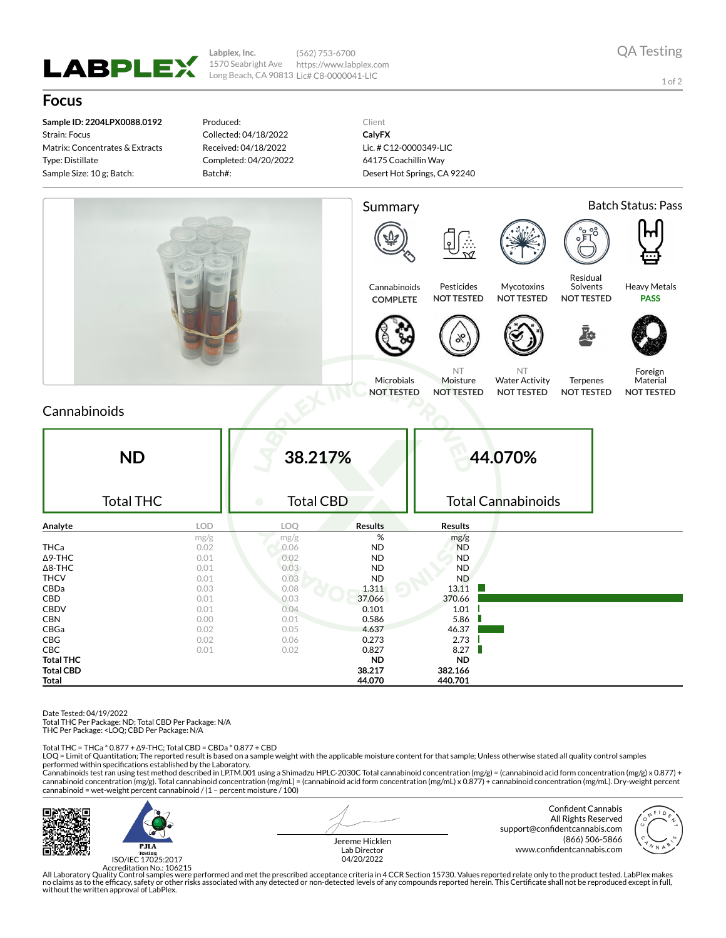

**Labplex, Inc.** 1570 Seabright Ave Long Beach, CA 90813 Lic# C8-0000041-LIC (562) 753-6700 https://www.labplex.com

1 of 2

## **Focus**

**Sample ID: 2204LPX0088.0192** Strain: Focus Matrix: Concentrates & Extracts Type: Distillate Sample Size: 10 g; Batch:

Produced: Collected: 04/18/2022 Received: 04/18/2022 Completed: 04/20/2022 Batch#:

Client **CalyFX** Lic. # C12-0000349-LIC 64175 Coachillin Way Desert Hot Springs, CA 92240



## Cannabinoids

| <b>ND</b><br><b>Total THC</b> |      | 38.217%<br><b>Total CBD</b><br>$\bullet$ |                | 44.070%<br><b>Total Cannabinoids</b> |  |  |
|-------------------------------|------|------------------------------------------|----------------|--------------------------------------|--|--|
| Analyte                       | LOD  | LOQ                                      | <b>Results</b> | <b>Results</b>                       |  |  |
|                               | mg/g | mg/g                                     | %              | mg/g                                 |  |  |
| <b>THCa</b>                   | 0.02 | 0.06                                     | <b>ND</b>      | <b>ND</b>                            |  |  |
| $\Delta$ 9-THC                | 0.01 | 0.02                                     | <b>ND</b>      | <b>ND</b>                            |  |  |
| $\Delta$ 8-THC                | 0.01 | 0.03                                     | <b>ND</b>      | <b>ND</b>                            |  |  |
| <b>THCV</b>                   | 0.01 | 0.03                                     | <b>ND</b>      | <b>ND</b>                            |  |  |
| CBDa                          | 0.03 | 0.08                                     | 1.311          | 13.11                                |  |  |
| CBD                           | 0.01 | 0.03                                     | 37.066         | 370.66                               |  |  |
| <b>CBDV</b>                   | 0.01 | 0.04                                     | 0.101          | 1.01                                 |  |  |
| <b>CBN</b>                    | 0.00 | 0.01                                     | 0.586          | 5.86                                 |  |  |
| CBGa                          | 0.02 | 0.05                                     | 4.637          | 46.37                                |  |  |
| CBG                           | 0.02 | 0.06                                     | 0.273          | 2.73                                 |  |  |
| <b>CBC</b>                    | 0.01 | 0.02                                     | 0.827          | 8.27                                 |  |  |
| <b>Total THC</b>              |      |                                          | <b>ND</b>      | <b>ND</b>                            |  |  |
| <b>Total CBD</b>              |      |                                          | 38.217         | 382.166                              |  |  |
| Total                         |      |                                          | 44.070         | 440.701                              |  |  |

Date Tested: 04/19/2022

Total THC Per Package: ND; Total CBD Per Package: N/A

THC Per Package: <LOQ; CBD Per Package: N/A

Total THC = THCa \* 0.877 + ∆9-THC; Total CBD = CBDa \* 0.877 + CBD

LOQ = Limit of Quantitation; The reported result is based on a sample weight with the applicable moisture content for that sample; Unless otherwise stated all quality control samples performed within specifications established by the Laboratory.

Cannabinoids test ran using test method described in LP.TM.001 using a Shimadzu HPLC-2030C Total cannabinoid concentration (mg/g) = (cannabinoid acid form concentration (mg/g) x 0.877) +<br>cannabinoid concentration (mg/g). T cannabinoid = wet-weight percent cannabinoid / (1 − percent moisture / 100)



 $P.H.A$ ISO/IEC 17025:2017 Jereme Hicklen Lab Director 04/20/2022

Confident Cannabis All Rights Reserved support@confidentcannabis.com (866) 506-5866 www.confidentcannabis.com



Accreditation No.: 106215<br>All Laboratory Quality Control samples were performed and met the prescribed acceptance criteria in 4 CCR Section 15730. Values reported relate only to the product tested. LabPlex makes<br>Ino claims without the written approval of LabPlex.